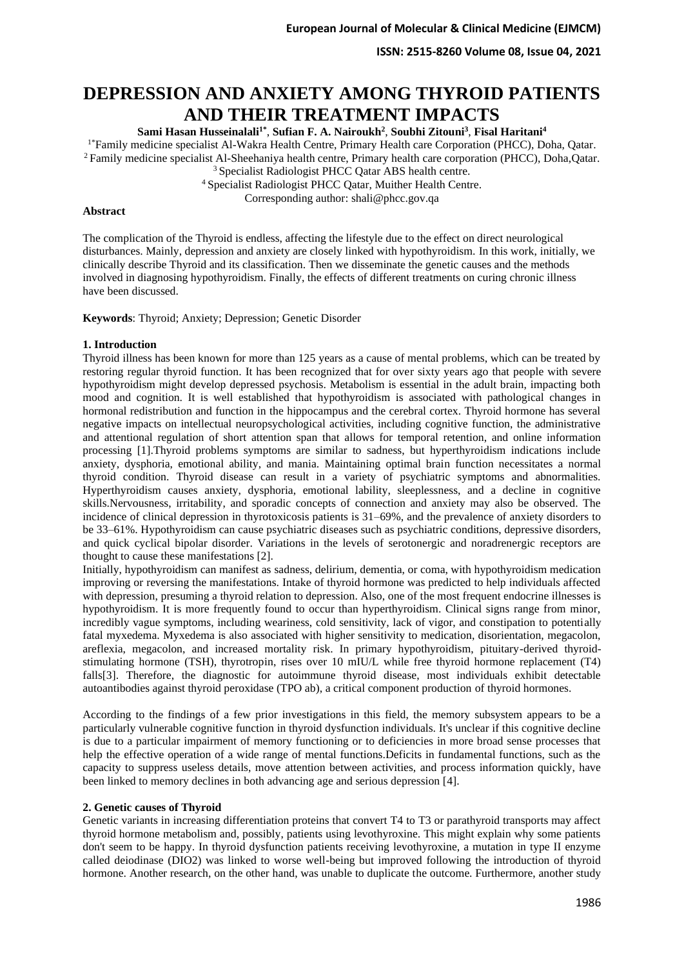**ISSN: 2515-8260 Volume 08, Issue 04, 2021**

# **DEPRESSION AND ANXIETY AMONG THYROID PATIENTS AND THEIR TREATMENT IMPACTS**

**Sami Hasan Husseinalali1\*** , **Sufian F. A. Nairoukh<sup>2</sup>** , **Soubhi Zitouni<sup>3</sup>** , **Fisal Haritani<sup>4</sup>**

<sup>1\*</sup>Family medicine specialist Al-Wakra Health Centre, Primary Health care Corporation (PHCC), Doha, Qatar. <sup>2</sup>Family medicine specialist Al-Sheehaniya health centre, Primary health care corporation (PHCC), Doha,Qatar.

<sup>3</sup> Specialist Radiologist PHCC Oatar ABS health centre.

<sup>4</sup>Specialist Radiologist PHCC Qatar, Muither Health Centre.

Corresponding author: shali@phcc.gov.qa

## **Abstract**

The complication of the Thyroid is endless, affecting the lifestyle due to the effect on direct neurological disturbances. Mainly, depression and anxiety are closely linked with hypothyroidism. In this work, initially, we clinically describe Thyroid and its classification. Then we disseminate the genetic causes and the methods involved in diagnosing hypothyroidism. Finally, the effects of different treatments on curing chronic illness have been discussed.

**Keywords**: Thyroid; Anxiety; Depression; Genetic Disorder

# **1. Introduction**

Thyroid illness has been known for more than 125 years as a cause of mental problems, which can be treated by restoring regular thyroid function. It has been recognized that for over sixty years ago that people with severe hypothyroidism might develop depressed psychosis. Metabolism is essential in the adult brain, impacting both mood and cognition. It is well established that hypothyroidism is associated with pathological changes in hormonal redistribution and function in the hippocampus and the cerebral cortex. Thyroid hormone has several negative impacts on intellectual neuropsychological activities, including cognitive function, the administrative and attentional regulation of short attention span that allows for temporal retention, and online information processing [1].Thyroid problems symptoms are similar to sadness, but hyperthyroidism indications include anxiety, dysphoria, emotional ability, and mania. Maintaining optimal brain function necessitates a normal thyroid condition. Thyroid disease can result in a variety of psychiatric symptoms and abnormalities. Hyperthyroidism causes anxiety, dysphoria, emotional lability, sleeplessness, and a decline in cognitive skills.Nervousness, irritability, and sporadic concepts of connection and anxiety may also be observed. The incidence of clinical depression in thyrotoxicosis patients is 31–69%, and the prevalence of anxiety disorders to be 33–61%. Hypothyroidism can cause psychiatric diseases such as psychiatric conditions, depressive disorders, and quick cyclical bipolar disorder. Variations in the levels of serotonergic and noradrenergic receptors are thought to cause these manifestations [2].

Initially, hypothyroidism can manifest as sadness, delirium, dementia, or coma, with hypothyroidism medication improving or reversing the manifestations. Intake of thyroid hormone was predicted to help individuals affected with depression, presuming a thyroid relation to depression. Also, one of the most frequent endocrine illnesses is hypothyroidism. It is more frequently found to occur than hyperthyroidism. Clinical signs range from minor, incredibly vague symptoms, including weariness, cold sensitivity, lack of vigor, and constipation to potentially fatal myxedema. Myxedema is also associated with higher sensitivity to medication, disorientation, megacolon, areflexia, megacolon, and increased mortality risk. In primary hypothyroidism, pituitary-derived thyroidstimulating hormone (TSH), thyrotropin, rises over 10 mIU/L while free thyroid hormone replacement (T4) falls[3]. Therefore, the diagnostic for autoimmune thyroid disease, most individuals exhibit detectable autoantibodies against thyroid peroxidase (TPO ab), a critical component production of thyroid hormones.

According to the findings of a few prior investigations in this field, the memory subsystem appears to be a particularly vulnerable cognitive function in thyroid dysfunction individuals. It's unclear if this cognitive decline is due to a particular impairment of memory functioning or to deficiencies in more broad sense processes that help the effective operation of a wide range of mental functions.Deficits in fundamental functions, such as the capacity to suppress useless details, move attention between activities, and process information quickly, have been linked to memory declines in both advancing age and serious depression [4].

#### **2. Genetic causes of Thyroid**

Genetic variants in increasing differentiation proteins that convert T4 to T3 or parathyroid transports may affect thyroid hormone metabolism and, possibly, patients using levothyroxine. This might explain why some patients don't seem to be happy. In thyroid dysfunction patients receiving levothyroxine, a mutation in type II enzyme called deiodinase (DIO2) was linked to worse well-being but improved following the introduction of thyroid hormone. Another research, on the other hand, was unable to duplicate the outcome. Furthermore, another study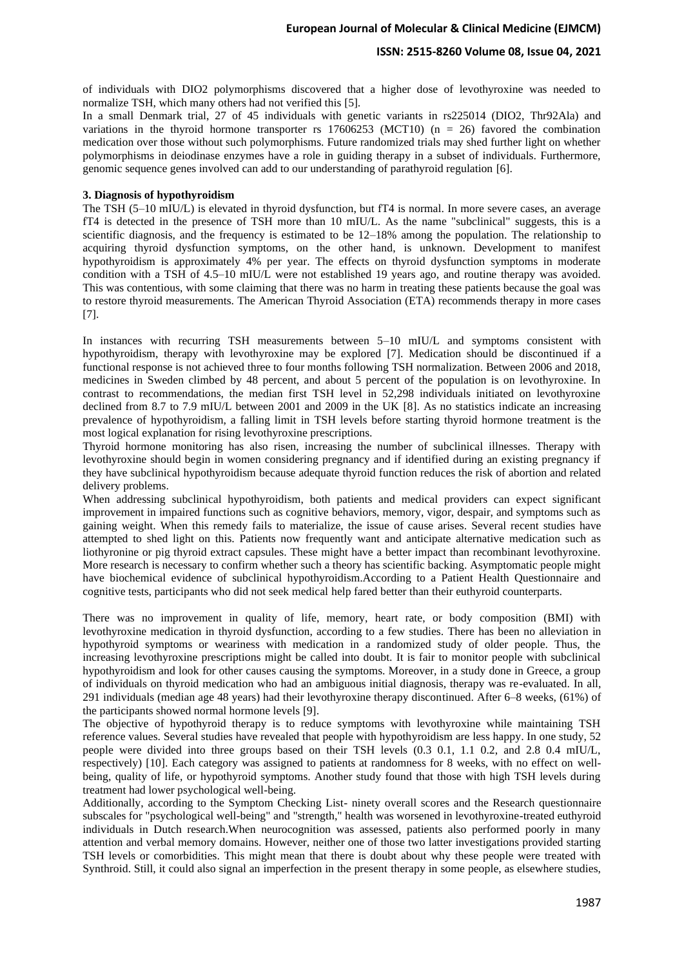# **ISSN: 2515-8260 Volume 08, Issue 04, 2021**

of individuals with DIO2 polymorphisms discovered that a higher dose of levothyroxine was needed to normalize TSH, which many others had not verified this [5].

In a small Denmark trial, 27 of 45 individuals with genetic variants in rs225014 (DIO2, Thr92Ala) and variations in the thyroid hormone transporter rs  $17606253$  (MCT10) (n = 26) favored the combination medication over those without such polymorphisms. Future randomized trials may shed further light on whether polymorphisms in deiodinase enzymes have a role in guiding therapy in a subset of individuals. Furthermore, genomic sequence genes involved can add to our understanding of parathyroid regulation [6].

# **3. Diagnosis of hypothyroidism**

The TSH (5–10 mIU/L) is elevated in thyroid dysfunction, but fT4 is normal. In more severe cases, an average fT4 is detected in the presence of TSH more than 10 mIU/L. As the name "subclinical" suggests, this is a scientific diagnosis, and the frequency is estimated to be 12–18% among the population. The relationship to acquiring thyroid dysfunction symptoms, on the other hand, is unknown. Development to manifest hypothyroidism is approximately 4% per year. The effects on thyroid dysfunction symptoms in moderate condition with a TSH of 4.5–10 mIU/L were not established 19 years ago, and routine therapy was avoided. This was contentious, with some claiming that there was no harm in treating these patients because the goal was to restore thyroid measurements. The American Thyroid Association (ETA) recommends therapy in more cases [7].

In instances with recurring TSH measurements between 5–10 mIU/L and symptoms consistent with hypothyroidism, therapy with levothyroxine may be explored [7]. Medication should be discontinued if a functional response is not achieved three to four months following TSH normalization. Between 2006 and 2018, medicines in Sweden climbed by 48 percent, and about 5 percent of the population is on levothyroxine. In contrast to recommendations, the median first TSH level in 52,298 individuals initiated on levothyroxine declined from 8.7 to 7.9 mIU/L between 2001 and 2009 in the UK [8]. As no statistics indicate an increasing prevalence of hypothyroidism, a falling limit in TSH levels before starting thyroid hormone treatment is the most logical explanation for rising levothyroxine prescriptions.

Thyroid hormone monitoring has also risen, increasing the number of subclinical illnesses. Therapy with levothyroxine should begin in women considering pregnancy and if identified during an existing pregnancy if they have subclinical hypothyroidism because adequate thyroid function reduces the risk of abortion and related delivery problems.

When addressing subclinical hypothyroidism, both patients and medical providers can expect significant improvement in impaired functions such as cognitive behaviors, memory, vigor, despair, and symptoms such as gaining weight. When this remedy fails to materialize, the issue of cause arises. Several recent studies have attempted to shed light on this. Patients now frequently want and anticipate alternative medication such as liothyronine or pig thyroid extract capsules. These might have a better impact than recombinant levothyroxine. More research is necessary to confirm whether such a theory has scientific backing. Asymptomatic people might have biochemical evidence of subclinical hypothyroidism.According to a Patient Health Questionnaire and cognitive tests, participants who did not seek medical help fared better than their euthyroid counterparts.

There was no improvement in quality of life, memory, heart rate, or body composition (BMI) with levothyroxine medication in thyroid dysfunction, according to a few studies. There has been no alleviation in hypothyroid symptoms or weariness with medication in a randomized study of older people. Thus, the increasing levothyroxine prescriptions might be called into doubt. It is fair to monitor people with subclinical hypothyroidism and look for other causes causing the symptoms. Moreover, in a study done in Greece, a group of individuals on thyroid medication who had an ambiguous initial diagnosis, therapy was re-evaluated. In all, 291 individuals (median age 48 years) had their levothyroxine therapy discontinued. After 6–8 weeks, (61%) of the participants showed normal hormone levels [9].

The objective of hypothyroid therapy is to reduce symptoms with levothyroxine while maintaining TSH reference values. Several studies have revealed that people with hypothyroidism are less happy. In one study, 52 people were divided into three groups based on their TSH levels (0.3 0.1, 1.1 0.2, and 2.8 0.4 mIU/L, respectively) [10]. Each category was assigned to patients at randomness for 8 weeks, with no effect on wellbeing, quality of life, or hypothyroid symptoms. Another study found that those with high TSH levels during treatment had lower psychological well-being.

Additionally, according to the Symptom Checking List- ninety overall scores and the Research questionnaire subscales for "psychological well-being" and "strength," health was worsened in levothyroxine-treated euthyroid individuals in Dutch research.When neurocognition was assessed, patients also performed poorly in many attention and verbal memory domains. However, neither one of those two latter investigations provided starting TSH levels or comorbidities. This might mean that there is doubt about why these people were treated with Synthroid. Still, it could also signal an imperfection in the present therapy in some people, as elsewhere studies,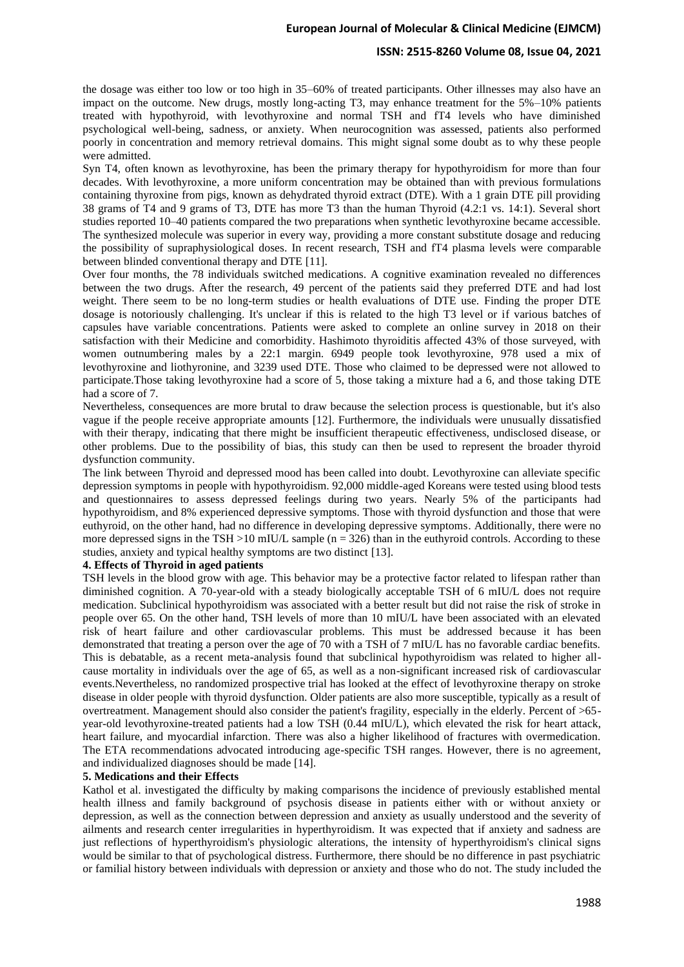#### **ISSN: 2515-8260 Volume 08, Issue 04, 2021**

the dosage was either too low or too high in 35–60% of treated participants. Other illnesses may also have an impact on the outcome. New drugs, mostly long-acting T3, may enhance treatment for the 5%–10% patients treated with hypothyroid, with levothyroxine and normal TSH and fT4 levels who have diminished psychological well-being, sadness, or anxiety. When neurocognition was assessed, patients also performed poorly in concentration and memory retrieval domains. This might signal some doubt as to why these people were admitted.

Syn T4, often known as levothyroxine, has been the primary therapy for hypothyroidism for more than four decades. With levothyroxine, a more uniform concentration may be obtained than with previous formulations containing thyroxine from pigs, known as dehydrated thyroid extract (DTE). With a 1 grain DTE pill providing 38 grams of T4 and 9 grams of T3, DTE has more T3 than the human Thyroid (4.2:1 vs. 14:1). Several short studies reported 10–40 patients compared the two preparations when synthetic levothyroxine became accessible. The synthesized molecule was superior in every way, providing a more constant substitute dosage and reducing the possibility of supraphysiological doses. In recent research, TSH and fT4 plasma levels were comparable between blinded conventional therapy and DTE [11].

Over four months, the 78 individuals switched medications. A cognitive examination revealed no differences between the two drugs. After the research, 49 percent of the patients said they preferred DTE and had lost weight. There seem to be no long-term studies or health evaluations of DTE use. Finding the proper DTE dosage is notoriously challenging. It's unclear if this is related to the high T3 level or if various batches of capsules have variable concentrations. Patients were asked to complete an online survey in 2018 on their satisfaction with their Medicine and comorbidity. Hashimoto thyroiditis affected 43% of those surveyed, with women outnumbering males by a 22:1 margin. 6949 people took levothyroxine, 978 used a mix of levothyroxine and liothyronine, and 3239 used DTE. Those who claimed to be depressed were not allowed to participate.Those taking levothyroxine had a score of 5, those taking a mixture had a 6, and those taking DTE had a score of 7.

Nevertheless, consequences are more brutal to draw because the selection process is questionable, but it's also vague if the people receive appropriate amounts [12]. Furthermore, the individuals were unusually dissatisfied with their therapy, indicating that there might be insufficient therapeutic effectiveness, undisclosed disease, or other problems. Due to the possibility of bias, this study can then be used to represent the broader thyroid dysfunction community.

The link between Thyroid and depressed mood has been called into doubt. Levothyroxine can alleviate specific depression symptoms in people with hypothyroidism. 92,000 middle-aged Koreans were tested using blood tests and questionnaires to assess depressed feelings during two years. Nearly 5% of the participants had hypothyroidism, and 8% experienced depressive symptoms. Those with thyroid dysfunction and those that were euthyroid, on the other hand, had no difference in developing depressive symptoms. Additionally, there were no more depressed signs in the TSH  $>$ 10 mIU/L sample (n = 326) than in the euthyroid controls. According to these studies, anxiety and typical healthy symptoms are two distinct [13].

# **4. Effects of Thyroid in aged patients**

TSH levels in the blood grow with age. This behavior may be a protective factor related to lifespan rather than diminished cognition. A 70-year-old with a steady biologically acceptable TSH of 6 mIU/L does not require medication. Subclinical hypothyroidism was associated with a better result but did not raise the risk of stroke in people over 65. On the other hand, TSH levels of more than 10 mIU/L have been associated with an elevated risk of heart failure and other cardiovascular problems. This must be addressed because it has been demonstrated that treating a person over the age of 70 with a TSH of 7 mIU/L has no favorable cardiac benefits. This is debatable, as a recent meta-analysis found that subclinical hypothyroidism was related to higher allcause mortality in individuals over the age of 65, as well as a non-significant increased risk of cardiovascular events.Nevertheless, no randomized prospective trial has looked at the effect of levothyroxine therapy on stroke disease in older people with thyroid dysfunction. Older patients are also more susceptible, typically as a result of overtreatment. Management should also consider the patient's fragility, especially in the elderly. Percent of >65 year-old levothyroxine-treated patients had a low TSH (0.44 mIU/L), which elevated the risk for heart attack, heart failure, and myocardial infarction. There was also a higher likelihood of fractures with overmedication. The ETA recommendations advocated introducing age-specific TSH ranges. However, there is no agreement, and individualized diagnoses should be made [14].

#### **5. Medications and their Effects**

Kathol et al. investigated the difficulty by making comparisons the incidence of previously established mental health illness and family background of psychosis disease in patients either with or without anxiety or depression, as well as the connection between depression and anxiety as usually understood and the severity of ailments and research center irregularities in hyperthyroidism. It was expected that if anxiety and sadness are just reflections of hyperthyroidism's physiologic alterations, the intensity of hyperthyroidism's clinical signs would be similar to that of psychological distress. Furthermore, there should be no difference in past psychiatric or familial history between individuals with depression or anxiety and those who do not. The study included the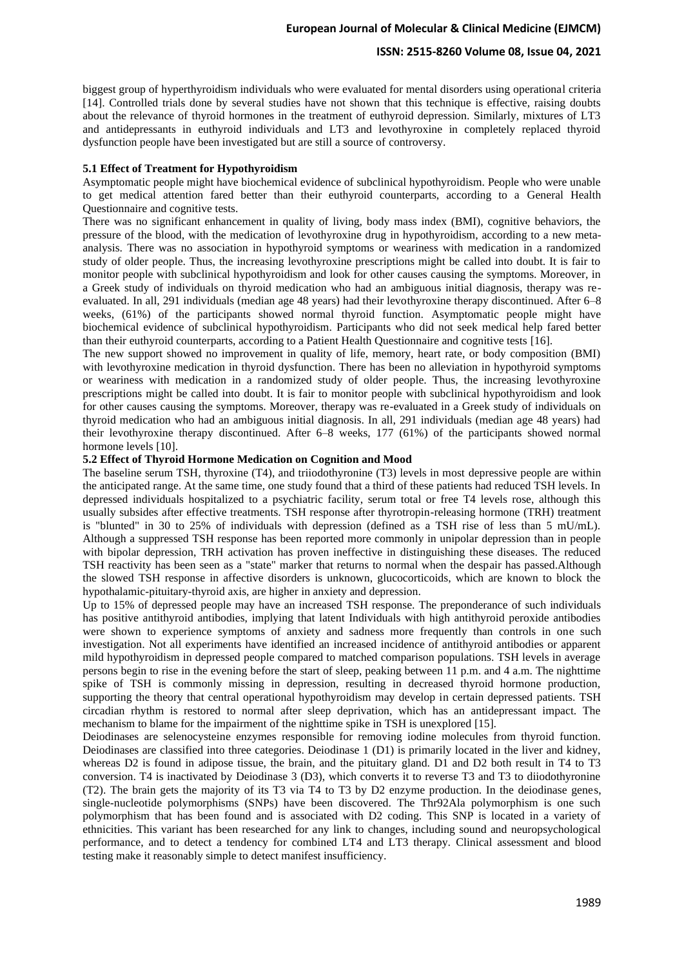## **ISSN: 2515-8260 Volume 08, Issue 04, 2021**

biggest group of hyperthyroidism individuals who were evaluated for mental disorders using operational criteria [14]. Controlled trials done by several studies have not shown that this technique is effective, raising doubts about the relevance of thyroid hormones in the treatment of euthyroid depression. Similarly, mixtures of LT3 and antidepressants in euthyroid individuals and LT3 and levothyroxine in completely replaced thyroid dysfunction people have been investigated but are still a source of controversy.

#### **5.1 Effect of Treatment for Hypothyroidism**

Asymptomatic people might have biochemical evidence of subclinical hypothyroidism. People who were unable to get medical attention fared better than their euthyroid counterparts, according to a General Health Questionnaire and cognitive tests.

There was no significant enhancement in quality of living, body mass index (BMI), cognitive behaviors, the pressure of the blood, with the medication of levothyroxine drug in hypothyroidism, according to a new metaanalysis. There was no association in hypothyroid symptoms or weariness with medication in a randomized study of older people. Thus, the increasing levothyroxine prescriptions might be called into doubt. It is fair to monitor people with subclinical hypothyroidism and look for other causes causing the symptoms. Moreover, in a Greek study of individuals on thyroid medication who had an ambiguous initial diagnosis, therapy was reevaluated. In all, 291 individuals (median age 48 years) had their levothyroxine therapy discontinued. After 6–8 weeks, (61%) of the participants showed normal thyroid function. Asymptomatic people might have biochemical evidence of subclinical hypothyroidism. Participants who did not seek medical help fared better than their euthyroid counterparts, according to a Patient Health Questionnaire and cognitive tests [16].

The new support showed no improvement in quality of life, memory, heart rate, or body composition (BMI) with levothyroxine medication in thyroid dysfunction. There has been no alleviation in hypothyroid symptoms or weariness with medication in a randomized study of older people. Thus, the increasing levothyroxine prescriptions might be called into doubt. It is fair to monitor people with subclinical hypothyroidism and look for other causes causing the symptoms. Moreover, therapy was re-evaluated in a Greek study of individuals on thyroid medication who had an ambiguous initial diagnosis. In all, 291 individuals (median age 48 years) had their levothyroxine therapy discontinued. After 6–8 weeks, 177 (61%) of the participants showed normal hormone levels [10].

# **5.2 Effect of Thyroid Hormone Medication on Cognition and Mood**

The baseline serum TSH, thyroxine (T4), and triiodothyronine (T3) levels in most depressive people are within the anticipated range. At the same time, one study found that a third of these patients had reduced TSH levels. In depressed individuals hospitalized to a psychiatric facility, serum total or free T4 levels rose, although this usually subsides after effective treatments. TSH response after thyrotropin-releasing hormone (TRH) treatment is "blunted" in 30 to 25% of individuals with depression (defined as a TSH rise of less than 5 mU/mL). Although a suppressed TSH response has been reported more commonly in unipolar depression than in people with bipolar depression, TRH activation has proven ineffective in distinguishing these diseases. The reduced TSH reactivity has been seen as a "state" marker that returns to normal when the despair has passed.Although the slowed TSH response in affective disorders is unknown, glucocorticoids, which are known to block the hypothalamic-pituitary-thyroid axis, are higher in anxiety and depression.

Up to 15% of depressed people may have an increased TSH response. The preponderance of such individuals has positive antithyroid antibodies, implying that latent Individuals with high antithyroid peroxide antibodies were shown to experience symptoms of anxiety and sadness more frequently than controls in one such investigation. Not all experiments have identified an increased incidence of antithyroid antibodies or apparent mild hypothyroidism in depressed people compared to matched comparison populations. TSH levels in average persons begin to rise in the evening before the start of sleep, peaking between 11 p.m. and 4 a.m. The nighttime spike of TSH is commonly missing in depression, resulting in decreased thyroid hormone production, supporting the theory that central operational hypothyroidism may develop in certain depressed patients. TSH circadian rhythm is restored to normal after sleep deprivation, which has an antidepressant impact. The mechanism to blame for the impairment of the nighttime spike in TSH is unexplored [15].

Deiodinases are selenocysteine enzymes responsible for removing iodine molecules from thyroid function. Deiodinases are classified into three categories. Deiodinase 1 (D1) is primarily located in the liver and kidney, whereas D2 is found in adipose tissue, the brain, and the pituitary gland. D1 and D2 both result in T4 to T3 conversion. T4 is inactivated by Deiodinase 3 (D3), which converts it to reverse T3 and T3 to diiodothyronine (T2). The brain gets the majority of its T3 via T4 to T3 by D2 enzyme production. In the deiodinase genes, single-nucleotide polymorphisms (SNPs) have been discovered. The Thr92Ala polymorphism is one such polymorphism that has been found and is associated with D2 coding. This SNP is located in a variety of ethnicities. This variant has been researched for any link to changes, including sound and neuropsychological performance, and to detect a tendency for combined LT4 and LT3 therapy. Clinical assessment and blood testing make it reasonably simple to detect manifest insufficiency.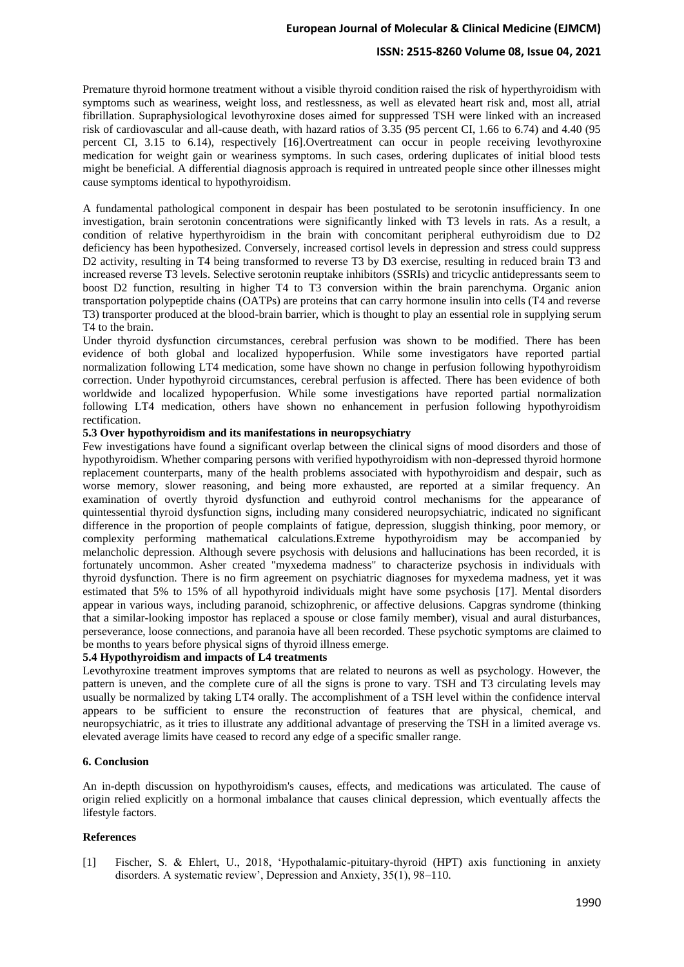# **ISSN: 2515-8260 Volume 08, Issue 04, 2021**

Premature thyroid hormone treatment without a visible thyroid condition raised the risk of hyperthyroidism with symptoms such as weariness, weight loss, and restlessness, as well as elevated heart risk and, most all, atrial fibrillation. Supraphysiological levothyroxine doses aimed for suppressed TSH were linked with an increased risk of cardiovascular and all-cause death, with hazard ratios of 3.35 (95 percent CI, 1.66 to 6.74) and 4.40 (95 percent CI, 3.15 to 6.14), respectively [16].Overtreatment can occur in people receiving levothyroxine medication for weight gain or weariness symptoms. In such cases, ordering duplicates of initial blood tests might be beneficial. A differential diagnosis approach is required in untreated people since other illnesses might cause symptoms identical to hypothyroidism.

A fundamental pathological component in despair has been postulated to be serotonin insufficiency. In one investigation, brain serotonin concentrations were significantly linked with T3 levels in rats. As a result, a condition of relative hyperthyroidism in the brain with concomitant peripheral euthyroidism due to D2 deficiency has been hypothesized. Conversely, increased cortisol levels in depression and stress could suppress D2 activity, resulting in T4 being transformed to reverse T3 by D3 exercise, resulting in reduced brain T3 and increased reverse T3 levels. Selective serotonin reuptake inhibitors (SSRIs) and tricyclic antidepressants seem to boost D2 function, resulting in higher T4 to T3 conversion within the brain parenchyma. Organic anion transportation polypeptide chains (OATPs) are proteins that can carry hormone insulin into cells (T4 and reverse T3) transporter produced at the blood-brain barrier, which is thought to play an essential role in supplying serum T4 to the brain.

Under thyroid dysfunction circumstances, cerebral perfusion was shown to be modified. There has been evidence of both global and localized hypoperfusion. While some investigators have reported partial normalization following LT4 medication, some have shown no change in perfusion following hypothyroidism correction. Under hypothyroid circumstances, cerebral perfusion is affected. There has been evidence of both worldwide and localized hypoperfusion. While some investigations have reported partial normalization following LT4 medication, others have shown no enhancement in perfusion following hypothyroidism rectification.

# **5.3 Over hypothyroidism and its manifestations in neuropsychiatry**

Few investigations have found a significant overlap between the clinical signs of mood disorders and those of hypothyroidism. Whether comparing persons with verified hypothyroidism with non-depressed thyroid hormone replacement counterparts, many of the health problems associated with hypothyroidism and despair, such as worse memory, slower reasoning, and being more exhausted, are reported at a similar frequency. An examination of overtly thyroid dysfunction and euthyroid control mechanisms for the appearance of quintessential thyroid dysfunction signs, including many considered neuropsychiatric, indicated no significant difference in the proportion of people complaints of fatigue, depression, sluggish thinking, poor memory, or complexity performing mathematical calculations.Extreme hypothyroidism may be accompanied by melancholic depression. Although severe psychosis with delusions and hallucinations has been recorded, it is fortunately uncommon. Asher created "myxedema madness" to characterize psychosis in individuals with thyroid dysfunction. There is no firm agreement on psychiatric diagnoses for myxedema madness, yet it was estimated that 5% to 15% of all hypothyroid individuals might have some psychosis [17]. Mental disorders appear in various ways, including paranoid, schizophrenic, or affective delusions. Capgras syndrome (thinking that a similar-looking impostor has replaced a spouse or close family member), visual and aural disturbances, perseverance, loose connections, and paranoia have all been recorded. These psychotic symptoms are claimed to be months to years before physical signs of thyroid illness emerge.

#### **5.4 Hypothyroidism and impacts of L4 treatments**

Levothyroxine treatment improves symptoms that are related to neurons as well as psychology. However, the pattern is uneven, and the complete cure of all the signs is prone to vary. TSH and T3 circulating levels may usually be normalized by taking LT4 orally. The accomplishment of a TSH level within the confidence interval appears to be sufficient to ensure the reconstruction of features that are physical, chemical, and neuropsychiatric, as it tries to illustrate any additional advantage of preserving the TSH in a limited average vs. elevated average limits have ceased to record any edge of a specific smaller range.

## **6. Conclusion**

An in-depth discussion on hypothyroidism's causes, effects, and medications was articulated. The cause of origin relied explicitly on a hormonal imbalance that causes clinical depression, which eventually affects the lifestyle factors.

#### **References**

[1] Fischer, S. & Ehlert, U., 2018, 'Hypothalamic-pituitary-thyroid (HPT) axis functioning in anxiety disorders. A systematic review', Depression and Anxiety, 35(1), 98–110.